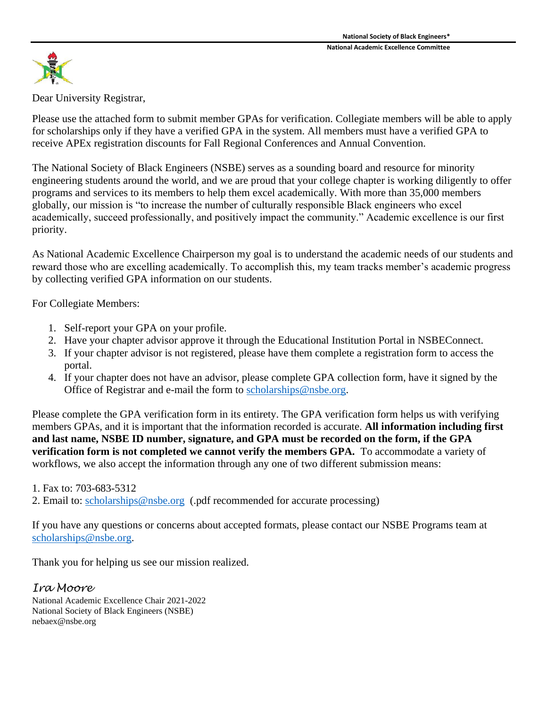

Dear University Registrar,

Please use the attached form to submit member GPAs for verification. Collegiate members will be able to apply for scholarships only if they have a verified GPA in the system. All members must have a verified GPA to receive APEx registration discounts for Fall Regional Conferences and Annual Convention.

The National Society of Black Engineers (NSBE) serves as a sounding board and resource for minority engineering students around the world, and we are proud that your college chapter is working diligently to offer programs and services to its members to help them excel academically. With more than 35,000 members globally, our mission is "to increase the number of culturally responsible Black engineers who excel academically, succeed professionally, and positively impact the community." Academic excellence is our first priority.

As National Academic Excellence Chairperson my goal is to understand the academic needs of our students and reward those who are excelling academically. To accomplish this, my team tracks member's academic progress by collecting verified GPA information on our students.

For Collegiate Members:

- 1. Self-report your GPA on your profile.
- 2. Have your chapter advisor approve it through the Educational Institution Portal in NSBEConnect.
- 3. If your chapter advisor is not registered, please have them complete a registration form to access the portal.
- 4. If your chapter does not have an advisor, please complete GPA collection form, have it signed by the Office of Registrar and e-mail the form to [scholarships@nsbe.org.](mailto:scholarships@nsbe.org)

Please complete the GPA verification form in its entirety. The GPA verification form helps us with verifying members GPAs, and it is important that the information recorded is accurate. **All information including first and last name, NSBE ID number, signature, and GPA must be recorded on the form, if the GPA verification form is not completed we cannot verify the members GPA.** To accommodate a variety of workflows, we also accept the information through any one of two different submission means:

## 1. Fax to: 703-683-5312

2. Email to: [scholarships@nsbe.org](mailto:scholarships@nsbe.org) (.pdf recommended for accurate processing)

If you have any questions or concerns about accepted formats, please contact our NSBE Programs team at [scholarships@nsbe.org.](mailto:scholarships@nsbe.org)

Thank you for helping us see our mission realized.

## *Ira Moore*

National Academic Excellence Chair 2021-2022 National Society of Black Engineers (NSBE) nebaex@nsbe.org